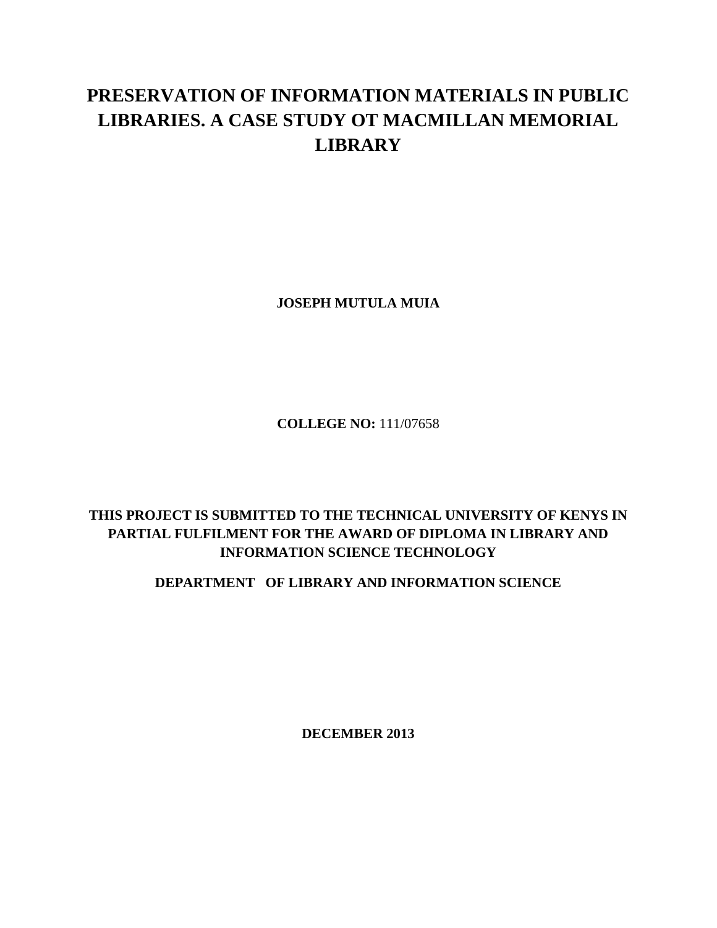## **PRESERVATION OF INFORMATION MATERIALS IN PUBLIC LIBRARIES. A CASE STUDY OT MACMILLAN MEMORIAL LIBRARY**

**JOSEPH MUTULA MUIA**

**COLLEGE NO:** 111/07658

## **THIS PROJECT IS SUBMITTED TO THE TECHNICAL UNIVERSITY OF KENYS IN PARTIAL FULFILMENT FOR THE AWARD OF DIPLOMA IN LIBRARY AND INFORMATION SCIENCE TECHNOLOGY**

## **DEPARTMENT OF LIBRARY AND INFORMATION SCIENCE**

**DECEMBER 2013**